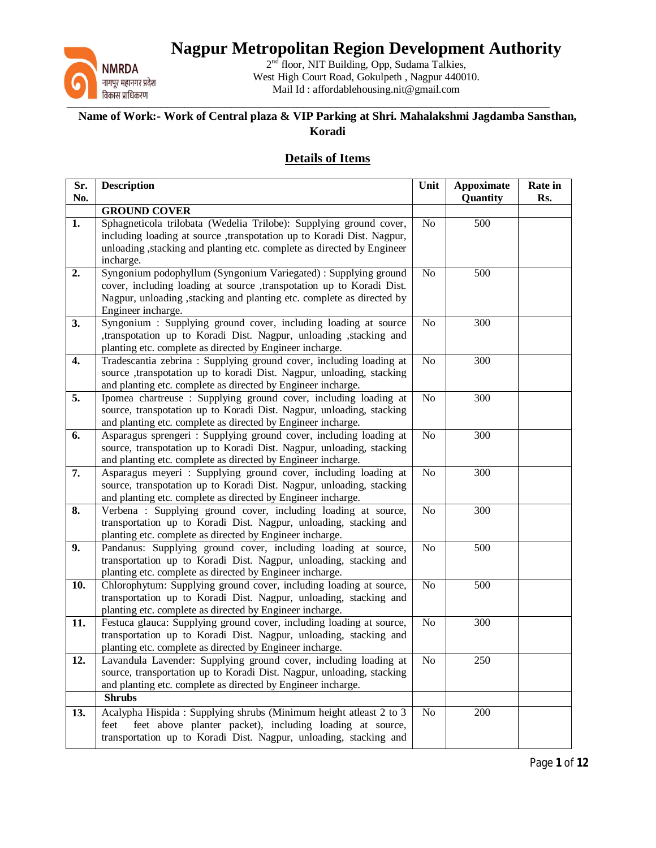

2<sup>nd</sup> floor, NIT Building, Opp, Sudama Talkies, West High Court Road, Gokulpeth , Nagpur 440010. Mail Id : affordablehousing.nit@gmail.com

#### **Name of Work:- Work of Central plaza & VIP Parking at Shri. Mahalakshmi Jagdamba Sansthan, Koradi**

#### **Details of Items**

| Sr.<br>No.       | <b>Description</b>                                                                                                                        | Unit           | <b>Appoximate</b><br>Quantity | Rate in<br>Rs. |
|------------------|-------------------------------------------------------------------------------------------------------------------------------------------|----------------|-------------------------------|----------------|
|                  | <b>GROUND COVER</b>                                                                                                                       |                |                               |                |
| 1.               | Sphagneticola trilobata (Wedelia Trilobe): Supplying ground cover,                                                                        | No             | 500                           |                |
|                  | including loading at source ,transpotation up to Koradi Dist. Nagpur,                                                                     |                |                               |                |
|                  | unloading , stacking and planting etc. complete as directed by Engineer                                                                   |                |                               |                |
|                  | incharge.                                                                                                                                 |                |                               |                |
| 2.               | Syngonium podophyllum (Syngonium Variegated) : Supplying ground<br>cover, including loading at source , transpotation up to Koradi Dist.  | No             | 500                           |                |
|                  | Nagpur, unloading, stacking and planting etc. complete as directed by                                                                     |                |                               |                |
|                  | Engineer incharge.                                                                                                                        |                |                               |                |
| 3.               | Syngonium : Supplying ground cover, including loading at source                                                                           | No             | 300                           |                |
|                  | ,transpotation up to Koradi Dist. Nagpur, unloading ,stacking and                                                                         |                |                               |                |
|                  | planting etc. complete as directed by Engineer incharge.                                                                                  |                |                               |                |
| 4.               | Tradescantia zebrina : Supplying ground cover, including loading at                                                                       | No             | 300                           |                |
|                  | source ,transpotation up to koradi Dist. Nagpur, unloading, stacking<br>and planting etc. complete as directed by Engineer incharge.      |                |                               |                |
| $\overline{5}$ . | Ipomea chartreuse : Supplying ground cover, including loading at                                                                          | No             | 300                           |                |
|                  | source, transpotation up to Koradi Dist. Nagpur, unloading, stacking                                                                      |                |                               |                |
|                  | and planting etc. complete as directed by Engineer incharge.                                                                              |                |                               |                |
| 6.               | Asparagus sprengeri : Supplying ground cover, including loading at                                                                        | No             | 300                           |                |
|                  | source, transpotation up to Koradi Dist. Nagpur, unloading, stacking                                                                      |                |                               |                |
|                  | and planting etc. complete as directed by Engineer incharge.                                                                              |                |                               |                |
| 7.               | Asparagus meyeri : Supplying ground cover, including loading at<br>source, transpotation up to Koradi Dist. Nagpur, unloading, stacking   | No             | 300                           |                |
|                  | and planting etc. complete as directed by Engineer incharge.                                                                              |                |                               |                |
| 8.               | Verbena : Supplying ground cover, including loading at source,                                                                            | No             | 300                           |                |
|                  | transportation up to Koradi Dist. Nagpur, unloading, stacking and                                                                         |                |                               |                |
|                  | planting etc. complete as directed by Engineer incharge.                                                                                  |                |                               |                |
| 9.               | Pandanus: Supplying ground cover, including loading at source,                                                                            | No             | 500                           |                |
|                  | transportation up to Koradi Dist. Nagpur, unloading, stacking and<br>planting etc. complete as directed by Engineer incharge.             |                |                               |                |
| 10.              | Chlorophytum: Supplying ground cover, including loading at source,                                                                        | No             | 500                           |                |
|                  | transportation up to Koradi Dist. Nagpur, unloading, stacking and                                                                         |                |                               |                |
|                  | planting etc. complete as directed by Engineer incharge.                                                                                  |                |                               |                |
| 11.              | Festuca glauca: Supplying ground cover, including loading at source,                                                                      | No             | 300                           |                |
|                  | transportation up to Koradi Dist. Nagpur, unloading, stacking and                                                                         |                |                               |                |
|                  | planting etc. complete as directed by Engineer incharge.                                                                                  |                |                               |                |
| 12.              | Lavandula Lavender: Supplying ground cover, including loading at<br>source, transportation up to Koradi Dist. Nagpur, unloading, stacking | N <sub>o</sub> | 250                           |                |
|                  | and planting etc. complete as directed by Engineer incharge.                                                                              |                |                               |                |
|                  | <b>Shrubs</b>                                                                                                                             |                |                               |                |
| 13.              | Acalypha Hispida: Supplying shrubs (Minimum height atleast 2 to 3                                                                         | No             | 200                           |                |
|                  | feet above planter packet), including loading at source,<br>feet                                                                          |                |                               |                |
|                  | transportation up to Koradi Dist. Nagpur, unloading, stacking and                                                                         |                |                               |                |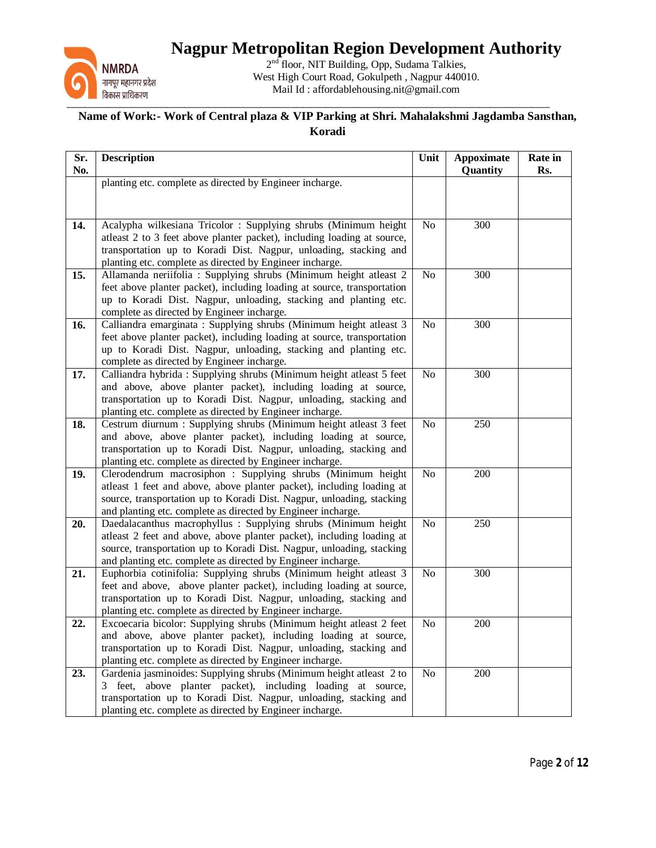

2<sup>nd</sup> floor, NIT Building, Opp, Sudama Talkies, West High Court Road, Gokulpeth , Nagpur 440010. Mail Id : affordablehousing.nit@gmail.com

| Sr.<br>No. | <b>Description</b>                                                                                                                            | Unit           | <b>Appoximate</b><br>Quantity | Rate in<br>Rs. |
|------------|-----------------------------------------------------------------------------------------------------------------------------------------------|----------------|-------------------------------|----------------|
|            | planting etc. complete as directed by Engineer incharge.                                                                                      |                |                               |                |
|            |                                                                                                                                               |                |                               |                |
|            |                                                                                                                                               |                |                               |                |
| 14.        | Acalypha wilkesiana Tricolor : Supplying shrubs (Minimum height                                                                               | No             | 300                           |                |
|            | atleast 2 to 3 feet above planter packet), including loading at source,                                                                       |                |                               |                |
|            | transportation up to Koradi Dist. Nagpur, unloading, stacking and                                                                             |                |                               |                |
|            | planting etc. complete as directed by Engineer incharge.                                                                                      |                |                               |                |
| 15.        | Allamanda neriifolia : Supplying shrubs (Minimum height atleast 2                                                                             | N <sub>o</sub> | 300                           |                |
|            | feet above planter packet), including loading at source, transportation                                                                       |                |                               |                |
|            | up to Koradi Dist. Nagpur, unloading, stacking and planting etc.                                                                              |                |                               |                |
|            | complete as directed by Engineer incharge.                                                                                                    |                |                               |                |
| 16.        | Calliandra emarginata : Supplying shrubs (Minimum height atleast 3<br>feet above planter packet), including loading at source, transportation | No             | 300                           |                |
|            | up to Koradi Dist. Nagpur, unloading, stacking and planting etc.                                                                              |                |                               |                |
|            | complete as directed by Engineer incharge.                                                                                                    |                |                               |                |
| 17.        | Calliandra hybrida: Supplying shrubs (Minimum height atleast 5 feet                                                                           | No             | 300                           |                |
|            | and above, above planter packet), including loading at source,                                                                                |                |                               |                |
|            | transportation up to Koradi Dist. Nagpur, unloading, stacking and                                                                             |                |                               |                |
|            | planting etc. complete as directed by Engineer incharge.                                                                                      |                |                               |                |
| 18.        | Cestrum diurnum : Supplying shrubs (Minimum height atleast 3 feet                                                                             | No             | 250                           |                |
|            | and above, above planter packet), including loading at source,                                                                                |                |                               |                |
|            | transportation up to Koradi Dist. Nagpur, unloading, stacking and                                                                             |                |                               |                |
|            | planting etc. complete as directed by Engineer incharge.                                                                                      |                |                               |                |
| 19.        | Clerodendrum macrosiphon : Supplying shrubs (Minimum height                                                                                   | No             | 200                           |                |
|            | atleast 1 feet and above, above planter packet), including loading at                                                                         |                |                               |                |
|            | source, transportation up to Koradi Dist. Nagpur, unloading, stacking<br>and planting etc. complete as directed by Engineer incharge.         |                |                               |                |
| 20.        | Daedalacanthus macrophyllus : Supplying shrubs (Minimum height                                                                                | No             | 250                           |                |
|            | atleast 2 feet and above, above planter packet), including loading at                                                                         |                |                               |                |
|            | source, transportation up to Koradi Dist. Nagpur, unloading, stacking                                                                         |                |                               |                |
|            | and planting etc. complete as directed by Engineer incharge.                                                                                  |                |                               |                |
| 21.        | Euphorbia cotinifolia: Supplying shrubs (Minimum height atleast 3                                                                             | No             | $\overline{3}00$              |                |
|            | feet and above, above planter packet), including loading at source,                                                                           |                |                               |                |
|            | transportation up to Koradi Dist. Nagpur, unloading, stacking and                                                                             |                |                               |                |
|            | planting etc. complete as directed by Engineer incharge.                                                                                      |                |                               |                |
| 22.        | Excoecaria bicolor: Supplying shrubs (Minimum height atleast 2 feet                                                                           | No             | 200                           |                |
|            | and above, above planter packet), including loading at source,                                                                                |                |                               |                |
|            | transportation up to Koradi Dist. Nagpur, unloading, stacking and                                                                             |                |                               |                |
|            | planting etc. complete as directed by Engineer incharge.                                                                                      |                |                               |                |
| 23.        | Gardenia jasminoides: Supplying shrubs (Minimum height atleast 2 to<br>3 feet, above planter packet), including loading at source,            | No             | 200                           |                |
|            | transportation up to Koradi Dist. Nagpur, unloading, stacking and                                                                             |                |                               |                |
|            | planting etc. complete as directed by Engineer incharge.                                                                                      |                |                               |                |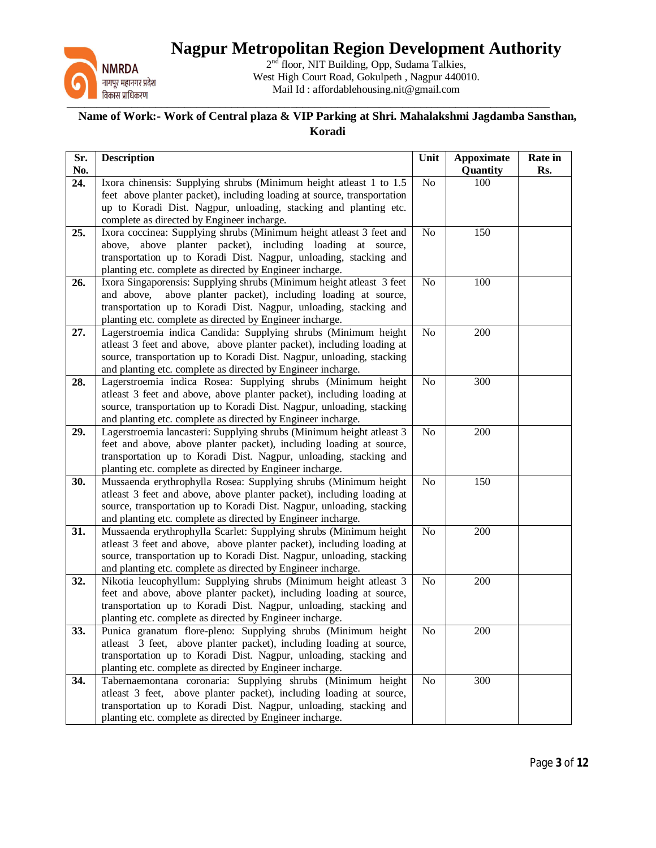

2<sup>nd</sup> floor, NIT Building, Opp, Sudama Talkies, West High Court Road, Gokulpeth , Nagpur 440010. Mail Id : affordablehousing.nit@gmail.com

| Sr.<br>No. | <b>Description</b>                                                                                                                          | Unit            | <b>Appoximate</b><br>Quantity | Rate in<br>Rs. |
|------------|---------------------------------------------------------------------------------------------------------------------------------------------|-----------------|-------------------------------|----------------|
| 24.        | Ixora chinensis: Supplying shrubs (Minimum height atleast 1 to 1.5                                                                          | No              | 100                           |                |
|            | feet above planter packet), including loading at source, transportation<br>up to Koradi Dist. Nagpur, unloading, stacking and planting etc. |                 |                               |                |
|            | complete as directed by Engineer incharge.                                                                                                  |                 |                               |                |
| 25.        | Ixora coccinea: Supplying shrubs (Minimum height atleast 3 feet and                                                                         | No              | 150                           |                |
|            | above, above planter packet), including loading at source,                                                                                  |                 |                               |                |
|            | transportation up to Koradi Dist. Nagpur, unloading, stacking and                                                                           |                 |                               |                |
| 26.        | planting etc. complete as directed by Engineer incharge.<br>Ixora Singaporensis: Supplying shrubs (Minimum height atleast 3 feet            | N <sub>o</sub>  | 100                           |                |
|            | and above,<br>above planter packet), including loading at source,                                                                           |                 |                               |                |
|            | transportation up to Koradi Dist. Nagpur, unloading, stacking and                                                                           |                 |                               |                |
|            | planting etc. complete as directed by Engineer incharge.                                                                                    |                 |                               |                |
| 27.        | Lagerstroemia indica Candida: Supplying shrubs (Minimum height                                                                              | No              | 200                           |                |
|            | atleast 3 feet and above, above planter packet), including loading at                                                                       |                 |                               |                |
|            | source, transportation up to Koradi Dist. Nagpur, unloading, stacking<br>and planting etc. complete as directed by Engineer incharge.       |                 |                               |                |
| 28.        | Lagerstroemia indica Rosea: Supplying shrubs (Minimum height                                                                                | No              | 300                           |                |
|            | atleast 3 feet and above, above planter packet), including loading at                                                                       |                 |                               |                |
|            | source, transportation up to Koradi Dist. Nagpur, unloading, stacking                                                                       |                 |                               |                |
|            | and planting etc. complete as directed by Engineer incharge.                                                                                |                 |                               |                |
| 29.        | Lagerstroemia lancasteri: Supplying shrubs (Minimum height atleast 3<br>feet and above, above planter packet), including loading at source, | No              | 200                           |                |
|            | transportation up to Koradi Dist. Nagpur, unloading, stacking and                                                                           |                 |                               |                |
|            | planting etc. complete as directed by Engineer incharge.                                                                                    |                 |                               |                |
| 30.        | Mussaenda erythrophylla Rosea: Supplying shrubs (Minimum height                                                                             | No              | 150                           |                |
|            | atleast 3 feet and above, above planter packet), including loading at                                                                       |                 |                               |                |
|            | source, transportation up to Koradi Dist. Nagpur, unloading, stacking                                                                       |                 |                               |                |
| 31.        | and planting etc. complete as directed by Engineer incharge.<br>Mussaenda erythrophylla Scarlet: Supplying shrubs (Minimum height           | N <sub>o</sub>  | 200                           |                |
|            | atleast 3 feet and above, above planter packet), including loading at                                                                       |                 |                               |                |
|            | source, transportation up to Koradi Dist. Nagpur, unloading, stacking                                                                       |                 |                               |                |
|            | and planting etc. complete as directed by Engineer incharge.                                                                                |                 |                               |                |
| 32.        | Nikotia leucophyllum: Supplying shrubs (Minimum height atleast 3                                                                            | N <sub>o</sub>  | 200                           |                |
|            | feet and above, above planter packet), including loading at source,<br>transportation up to Koradi Dist. Nagpur, unloading, stacking and    |                 |                               |                |
|            | planting etc. complete as directed by Engineer incharge.                                                                                    |                 |                               |                |
| 33.        | Punica granatum flore-pleno: Supplying shrubs (Minimum height                                                                               | $\overline{No}$ | 200                           |                |
|            | atleast 3 feet, above planter packet), including loading at source,                                                                         |                 |                               |                |
|            | transportation up to Koradi Dist. Nagpur, unloading, stacking and                                                                           |                 |                               |                |
|            | planting etc. complete as directed by Engineer incharge.                                                                                    |                 | $\overline{300}$              |                |
| 34.        | Tabernaemontana coronaria: Supplying shrubs (Minimum height<br>atleast 3 feet, above planter packet), including loading at source,          | No              |                               |                |
|            | transportation up to Koradi Dist. Nagpur, unloading, stacking and                                                                           |                 |                               |                |
|            | planting etc. complete as directed by Engineer incharge.                                                                                    |                 |                               |                |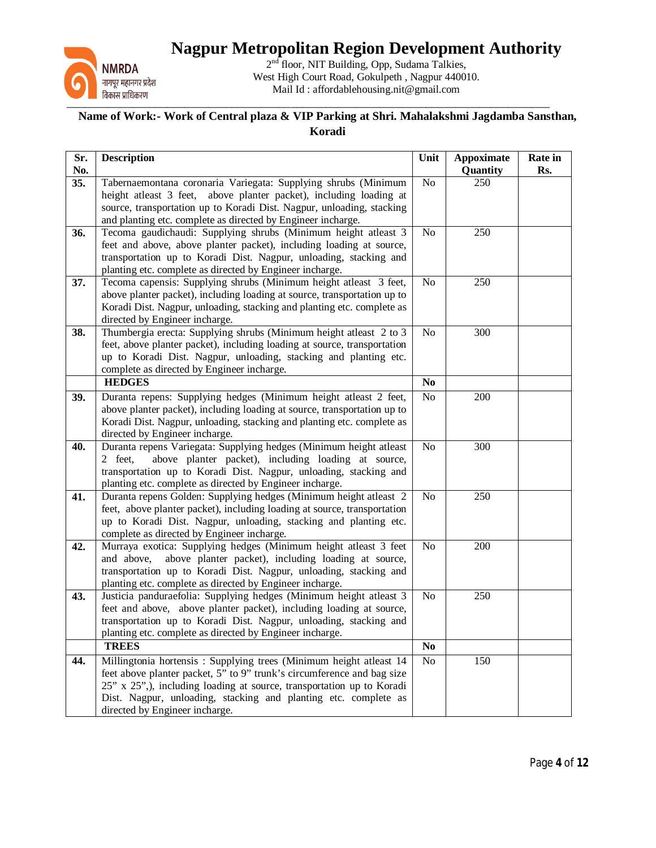

2<sup>nd</sup> floor, NIT Building, Opp, Sudama Talkies, West High Court Road, Gokulpeth , Nagpur 440010. Mail Id : affordablehousing.nit@gmail.com

| Sr.<br>No. | <b>Description</b>                                                                                                                                                                                                                                                                                                         | Unit           | <b>Appoximate</b><br>Quantity | Rate in<br>Rs. |
|------------|----------------------------------------------------------------------------------------------------------------------------------------------------------------------------------------------------------------------------------------------------------------------------------------------------------------------------|----------------|-------------------------------|----------------|
| 35.        | Tabernaemontana coronaria Variegata: Supplying shrubs (Minimum<br>height atleast 3 feet, above planter packet), including loading at<br>source, transportation up to Koradi Dist. Nagpur, unloading, stacking<br>and planting etc. complete as directed by Engineer incharge.                                              | No             | 250                           |                |
| 36.        | Tecoma gaudichaudi: Supplying shrubs (Minimum height atleast 3<br>feet and above, above planter packet), including loading at source,<br>transportation up to Koradi Dist. Nagpur, unloading, stacking and<br>planting etc. complete as directed by Engineer incharge.                                                     | No             | 250                           |                |
| 37.        | Tecoma capensis: Supplying shrubs (Minimum height atleast 3 feet,<br>above planter packet), including loading at source, transportation up to<br>Koradi Dist. Nagpur, unloading, stacking and planting etc. complete as<br>directed by Engineer incharge.                                                                  | No             | 250                           |                |
| 38.        | Thumbergia erecta: Supplying shrubs (Minimum height atleast 2 to 3<br>feet, above planter packet), including loading at source, transportation<br>up to Koradi Dist. Nagpur, unloading, stacking and planting etc.<br>complete as directed by Engineer incharge.                                                           | No             | 300                           |                |
|            | <b>HEDGES</b>                                                                                                                                                                                                                                                                                                              | $\bf No$       |                               |                |
| 39.        | Duranta repens: Supplying hedges (Minimum height atleast 2 feet,<br>above planter packet), including loading at source, transportation up to<br>Koradi Dist. Nagpur, unloading, stacking and planting etc. complete as<br>directed by Engineer incharge.                                                                   | No             | 200                           |                |
| 40.        | Duranta repens Variegata: Supplying hedges (Minimum height atleast<br>2 feet,<br>above planter packet), including loading at source,<br>transportation up to Koradi Dist. Nagpur, unloading, stacking and<br>planting etc. complete as directed by Engineer incharge.                                                      | No             | 300                           |                |
| 41.        | Duranta repens Golden: Supplying hedges (Minimum height atleast 2<br>feet, above planter packet), including loading at source, transportation<br>up to Koradi Dist. Nagpur, unloading, stacking and planting etc.<br>complete as directed by Engineer incharge.                                                            | No             | 250                           |                |
| 42.        | Murraya exotica: Supplying hedges (Minimum height atleast 3 feet<br>above planter packet), including loading at source,<br>and above,<br>transportation up to Koradi Dist. Nagpur, unloading, stacking and<br>planting etc. complete as directed by Engineer incharge.                                                     | No             | 200                           |                |
| 43.        | Justicia panduraefolia: Supplying hedges (Minimum height atleast 3<br>feet and above, above planter packet), including loading at source,<br>transportation up to Koradi Dist. Nagpur, unloading, stacking and<br>planting etc. complete as directed by Engineer incharge.                                                 | No             | 250                           |                |
|            | <b>TREES</b>                                                                                                                                                                                                                                                                                                               | N <sub>0</sub> |                               |                |
| 44.        | Millingtonia hortensis: Supplying trees (Minimum height atleast 14<br>feet above planter packet, 5" to 9" trunk's circumference and bag size<br>25" x 25",), including loading at source, transportation up to Koradi<br>Dist. Nagpur, unloading, stacking and planting etc. complete as<br>directed by Engineer incharge. | No             | $\overline{150}$              |                |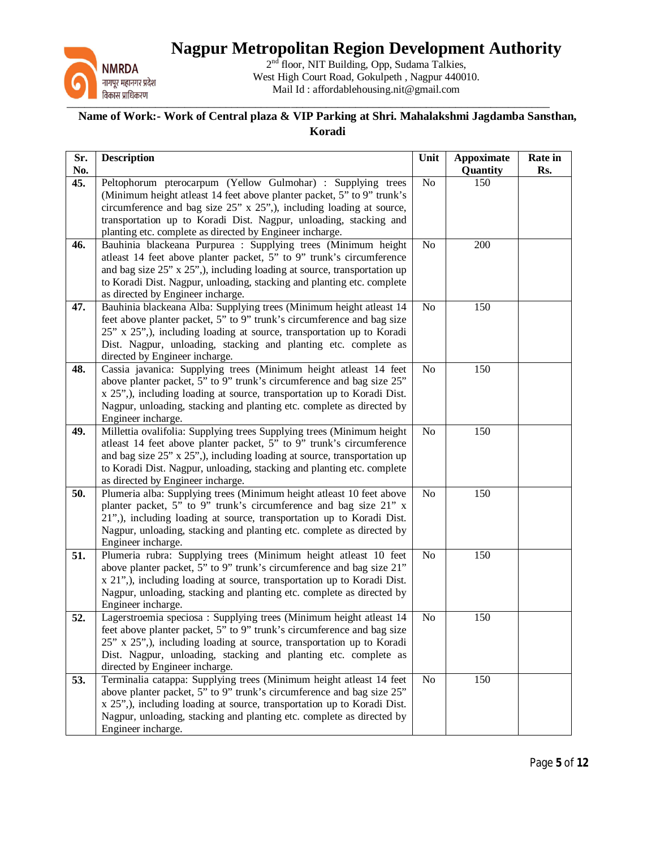

2<sup>nd</sup> floor, NIT Building, Opp, Sudama Talkies, West High Court Road, Gokulpeth , Nagpur 440010. Mail Id : affordablehousing.nit@gmail.com

| Sr.<br>No. | <b>Description</b>                                                                                                                            | Unit           | <b>Appoximate</b><br>Quantity | Rate in<br>Rs. |
|------------|-----------------------------------------------------------------------------------------------------------------------------------------------|----------------|-------------------------------|----------------|
| 45.        | Peltophorum pterocarpum (Yellow Gulmohar) : Supplying trees                                                                                   | N <sub>o</sub> | 150                           |                |
|            | (Minimum height atleast 14 feet above planter packet, 5" to 9" trunk's                                                                        |                |                               |                |
|            | circumference and bag size 25" x 25",), including loading at source,                                                                          |                |                               |                |
|            | transportation up to Koradi Dist. Nagpur, unloading, stacking and                                                                             |                |                               |                |
|            | planting etc. complete as directed by Engineer incharge.                                                                                      |                |                               |                |
| 46.        | Bauhinia blackeana Purpurea : Supplying trees (Minimum height                                                                                 | No             | 200                           |                |
|            | atleast 14 feet above planter packet, 5" to 9" trunk's circumference                                                                          |                |                               |                |
|            | and bag size $25$ " x $25$ ",), including loading at source, transportation up                                                                |                |                               |                |
|            | to Koradi Dist. Nagpur, unloading, stacking and planting etc. complete                                                                        |                |                               |                |
| 47.        | as directed by Engineer incharge.                                                                                                             | No             | 150                           |                |
|            | Bauhinia blackeana Alba: Supplying trees (Minimum height atleast 14<br>feet above planter packet, 5" to 9" trunk's circumference and bag size |                |                               |                |
|            | 25" x 25",), including loading at source, transportation up to Koradi                                                                         |                |                               |                |
|            | Dist. Nagpur, unloading, stacking and planting etc. complete as                                                                               |                |                               |                |
|            | directed by Engineer incharge.                                                                                                                |                |                               |                |
| 48.        | Cassia javanica: Supplying trees (Minimum height atleast 14 feet                                                                              | No             | 150                           |                |
|            | above planter packet, 5" to 9" trunk's circumference and bag size 25"                                                                         |                |                               |                |
|            | x 25",), including loading at source, transportation up to Koradi Dist.                                                                       |                |                               |                |
|            | Nagpur, unloading, stacking and planting etc. complete as directed by                                                                         |                |                               |                |
|            | Engineer incharge.                                                                                                                            |                |                               |                |
| 49.        | Millettia ovalifolia: Supplying trees Supplying trees (Minimum height                                                                         | No             | 150                           |                |
|            | atleast 14 feet above planter packet, 5" to 9" trunk's circumference                                                                          |                |                               |                |
|            | and bag size 25" x 25",), including loading at source, transportation up                                                                      |                |                               |                |
|            | to Koradi Dist. Nagpur, unloading, stacking and planting etc. complete                                                                        |                |                               |                |
| 50.        | as directed by Engineer incharge.<br>Plumeria alba: Supplying trees (Minimum height atleast 10 feet above                                     | N <sub>o</sub> | 150                           |                |
|            | planter packet, 5" to 9" trunk's circumference and bag size 21" x                                                                             |                |                               |                |
|            | 21",), including loading at source, transportation up to Koradi Dist.                                                                         |                |                               |                |
|            | Nagpur, unloading, stacking and planting etc. complete as directed by                                                                         |                |                               |                |
|            | Engineer incharge.                                                                                                                            |                |                               |                |
| 51.        | Plumeria rubra: Supplying trees (Minimum height atleast 10 feet                                                                               | No             | 150                           |                |
|            | above planter packet, 5" to 9" trunk's circumference and bag size 21"                                                                         |                |                               |                |
|            | x 21",), including loading at source, transportation up to Koradi Dist.                                                                       |                |                               |                |
|            | Nagpur, unloading, stacking and planting etc. complete as directed by                                                                         |                |                               |                |
|            | Engineer incharge.                                                                                                                            |                |                               |                |
| 52.        | Lagerstroemia speciosa : Supplying trees (Minimum height atleast 14                                                                           | N <sub>o</sub> | 150                           |                |
|            | feet above planter packet, 5" to 9" trunk's circumference and bag size                                                                        |                |                               |                |
|            | 25" x 25",), including loading at source, transportation up to Koradi                                                                         |                |                               |                |
|            | Dist. Nagpur, unloading, stacking and planting etc. complete as                                                                               |                |                               |                |
| 53.        | directed by Engineer incharge.<br>Terminalia catappa: Supplying trees (Minimum height atleast 14 feet                                         | N <sub>o</sub> | 150                           |                |
|            | above planter packet, 5" to 9" trunk's circumference and bag size 25"                                                                         |                |                               |                |
|            | x 25",), including loading at source, transportation up to Koradi Dist.                                                                       |                |                               |                |
|            | Nagpur, unloading, stacking and planting etc. complete as directed by                                                                         |                |                               |                |
|            | Engineer incharge.                                                                                                                            |                |                               |                |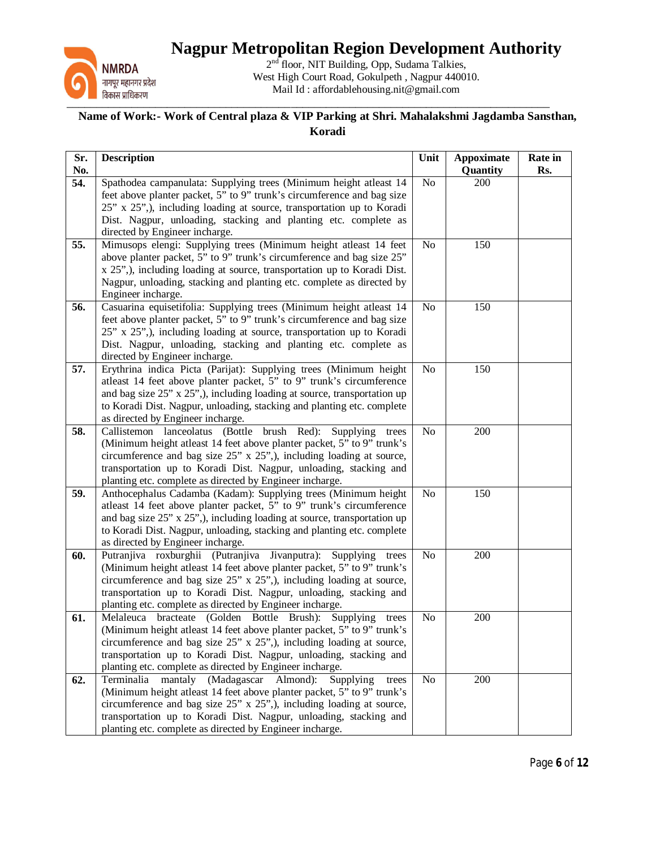

2<sup>nd</sup> floor, NIT Building, Opp, Sudama Talkies, West High Court Road, Gokulpeth , Nagpur 440010. Mail Id : affordablehousing.nit@gmail.com

| Sr.<br>No. | <b>Description</b>                                                                                                                               | Unit           | <b>Appoximate</b><br>Quantity | Rate in<br>Rs. |
|------------|--------------------------------------------------------------------------------------------------------------------------------------------------|----------------|-------------------------------|----------------|
| 54.        | Spathodea campanulata: Supplying trees (Minimum height atleast 14                                                                                | No             | 200                           |                |
|            | feet above planter packet, 5" to 9" trunk's circumference and bag size                                                                           |                |                               |                |
|            | 25" x 25",), including loading at source, transportation up to Koradi                                                                            |                |                               |                |
|            | Dist. Nagpur, unloading, stacking and planting etc. complete as                                                                                  |                |                               |                |
|            | directed by Engineer incharge.                                                                                                                   |                |                               |                |
| 55.        | Mimusops elengi: Supplying trees (Minimum height atleast 14 feet                                                                                 | N <sub>o</sub> | 150                           |                |
|            | above planter packet, 5" to 9" trunk's circumference and bag size 25"                                                                            |                |                               |                |
|            | x 25",), including loading at source, transportation up to Koradi Dist.<br>Nagpur, unloading, stacking and planting etc. complete as directed by |                |                               |                |
|            | Engineer incharge.                                                                                                                               |                |                               |                |
| 56.        | Casuarina equisetifolia: Supplying trees (Minimum height atleast 14                                                                              | No             | 150                           |                |
|            | feet above planter packet, 5" to 9" trunk's circumference and bag size                                                                           |                |                               |                |
|            | 25" x 25",), including loading at source, transportation up to Koradi                                                                            |                |                               |                |
|            | Dist. Nagpur, unloading, stacking and planting etc. complete as                                                                                  |                |                               |                |
|            | directed by Engineer incharge.                                                                                                                   |                |                               |                |
| 57.        | Erythrina indica Picta (Parijat): Supplying trees (Minimum height                                                                                | N <sub>o</sub> | 150                           |                |
|            | atleast 14 feet above planter packet, 5" to 9" trunk's circumference                                                                             |                |                               |                |
|            | and bag size 25" x 25",), including loading at source, transportation up                                                                         |                |                               |                |
|            | to Koradi Dist. Nagpur, unloading, stacking and planting etc. complete                                                                           |                |                               |                |
| 58.        | as directed by Engineer incharge.<br>Callistemon lanceolatus (Bottle brush Red): Supplying trees                                                 | No             | 200                           |                |
|            | (Minimum height atleast 14 feet above planter packet, 5" to 9" trunk's                                                                           |                |                               |                |
|            | circumference and bag size 25" x 25",), including loading at source,                                                                             |                |                               |                |
|            | transportation up to Koradi Dist. Nagpur, unloading, stacking and                                                                                |                |                               |                |
|            | planting etc. complete as directed by Engineer incharge.                                                                                         |                |                               |                |
| 59.        | Anthocephalus Cadamba (Kadam): Supplying trees (Minimum height                                                                                   | N <sub>o</sub> | 150                           |                |
|            | atleast 14 feet above planter packet, 5" to 9" trunk's circumference                                                                             |                |                               |                |
|            | and bag size $25$ " x $25$ ",), including loading at source, transportation up                                                                   |                |                               |                |
|            | to Koradi Dist. Nagpur, unloading, stacking and planting etc. complete                                                                           |                |                               |                |
| 60.        | as directed by Engineer incharge.<br>Putranjiva roxburghii (Putranjiva Jivanputra): Supplying trees                                              | N <sub>o</sub> | 200                           |                |
|            | (Minimum height atleast 14 feet above planter packet, 5" to 9" trunk's                                                                           |                |                               |                |
|            | circumference and bag size 25" x 25",), including loading at source,                                                                             |                |                               |                |
|            | transportation up to Koradi Dist. Nagpur, unloading, stacking and                                                                                |                |                               |                |
|            | planting etc. complete as directed by Engineer incharge.                                                                                         |                |                               |                |
| 61.        | Melaleuca bracteate (Golden Bottle Brush): Supplying<br>trees                                                                                    | N <sub>o</sub> | 200                           |                |
|            | (Minimum height atleast 14 feet above planter packet, 5" to 9" trunk's                                                                           |                |                               |                |
|            | circumference and bag size 25" x 25",), including loading at source,                                                                             |                |                               |                |
|            | transportation up to Koradi Dist. Nagpur, unloading, stacking and                                                                                |                |                               |                |
|            | planting etc. complete as directed by Engineer incharge.                                                                                         |                |                               |                |
| 62.        | mantaly (Madagascar Almond):<br>Terminalia<br>Supplying<br>trees<br>(Minimum height atleast 14 feet above planter packet, 5" to 9" trunk's       | N <sub>o</sub> | 200                           |                |
|            | circumference and bag size $25$ " x $25$ ",), including loading at source,                                                                       |                |                               |                |
|            | transportation up to Koradi Dist. Nagpur, unloading, stacking and                                                                                |                |                               |                |
|            | planting etc. complete as directed by Engineer incharge.                                                                                         |                |                               |                |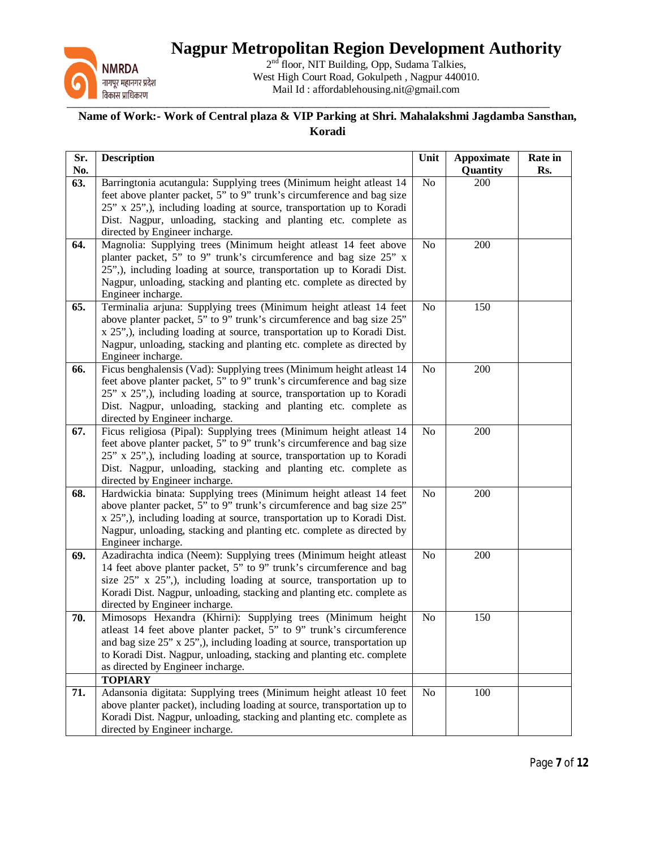

2<sup>nd</sup> floor, NIT Building, Opp, Sudama Talkies, West High Court Road, Gokulpeth , Nagpur 440010. Mail Id : affordablehousing.nit@gmail.com

| Sr.<br>No. | <b>Description</b>                                                                                                                                                                                                                                                                                                             | Unit           | <b>Appoximate</b><br>Quantity | Rate in<br>Rs. |
|------------|--------------------------------------------------------------------------------------------------------------------------------------------------------------------------------------------------------------------------------------------------------------------------------------------------------------------------------|----------------|-------------------------------|----------------|
| 63.        | Barringtonia acutangula: Supplying trees (Minimum height atleast 14<br>feet above planter packet, 5" to 9" trunk's circumference and bag size                                                                                                                                                                                  | No             | 200                           |                |
|            | 25" x 25",), including loading at source, transportation up to Koradi                                                                                                                                                                                                                                                          |                |                               |                |
|            | Dist. Nagpur, unloading, stacking and planting etc. complete as                                                                                                                                                                                                                                                                |                |                               |                |
| 64.        | directed by Engineer incharge.<br>Magnolia: Supplying trees (Minimum height atleast 14 feet above                                                                                                                                                                                                                              | No             | 200                           |                |
|            | planter packet, 5" to 9" trunk's circumference and bag size 25" x<br>25",), including loading at source, transportation up to Koradi Dist.<br>Nagpur, unloading, stacking and planting etc. complete as directed by<br>Engineer incharge.                                                                                      |                |                               |                |
| 65.        | Terminalia arjuna: Supplying trees (Minimum height atleast 14 feet<br>above planter packet, 5" to 9" trunk's circumference and bag size 25"<br>x 25",), including loading at source, transportation up to Koradi Dist.<br>Nagpur, unloading, stacking and planting etc. complete as directed by<br>Engineer incharge.          | No             | 150                           |                |
| 66.        | Ficus benghalensis (Vad): Supplying trees (Minimum height atleast 14<br>feet above planter packet, 5" to 9" trunk's circumference and bag size<br>25" x 25",), including loading at source, transportation up to Koradi<br>Dist. Nagpur, unloading, stacking and planting etc. complete as<br>directed by Engineer incharge.   | N <sub>o</sub> | 200                           |                |
| 67.        | Ficus religiosa (Pipal): Supplying trees (Minimum height atleast 14<br>feet above planter packet, 5" to 9" trunk's circumference and bag size<br>25" x 25",), including loading at source, transportation up to Koradi<br>Dist. Nagpur, unloading, stacking and planting etc. complete as<br>directed by Engineer incharge.    | No             | 200                           |                |
| 68.        | Hardwickia binata: Supplying trees (Minimum height atleast 14 feet<br>above planter packet, 5" to 9" trunk's circumference and bag size 25"<br>x 25",), including loading at source, transportation up to Koradi Dist.<br>Nagpur, unloading, stacking and planting etc. complete as directed by<br>Engineer incharge.          | No             | 200                           |                |
| 69.        | Azadirachta indica (Neem): Supplying trees (Minimum height atleast<br>14 feet above planter packet, 5" to 9" trunk's circumference and bag<br>size 25" x 25",), including loading at source, transportation up to<br>Koradi Dist. Nagpur, unloading, stacking and planting etc. complete as<br>directed by Engineer incharge.  | N <sub>o</sub> | 200                           |                |
| 70.        | Mimosops Hexandra (Khirni): Supplying trees (Minimum height<br>atleast 14 feet above planter packet, 5" to 9" trunk's circumference<br>and bag size 25" x 25",), including loading at source, transportation up<br>to Koradi Dist. Nagpur, unloading, stacking and planting etc. complete<br>as directed by Engineer incharge. | No             | 150                           |                |
| 71.        | <b>TOPIARY</b><br>Adansonia digitata: Supplying trees (Minimum height atleast 10 feet<br>above planter packet), including loading at source, transportation up to<br>Koradi Dist. Nagpur, unloading, stacking and planting etc. complete as<br>directed by Engineer incharge.                                                  | No             | 100                           |                |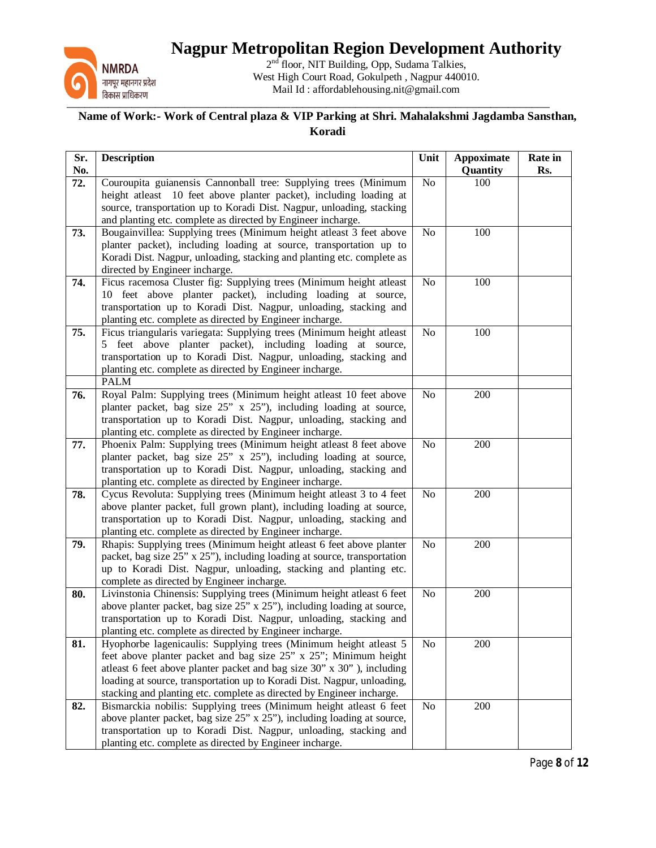

2<sup>nd</sup> floor, NIT Building, Opp, Sudama Talkies, West High Court Road, Gokulpeth , Nagpur 440010. Mail Id : affordablehousing.nit@gmail.com

| Sr.<br>No. | <b>Description</b>                                                                                                               | Unit           | <b>Appoximate</b><br>Quantity | Rate in<br>Rs. |
|------------|----------------------------------------------------------------------------------------------------------------------------------|----------------|-------------------------------|----------------|
| 72.        | Couroupita guianensis Cannonball tree: Supplying trees (Minimum                                                                  | No             | 100                           |                |
|            | height atleast 10 feet above planter packet), including loading at                                                               |                |                               |                |
|            | source, transportation up to Koradi Dist. Nagpur, unloading, stacking                                                            |                |                               |                |
|            | and planting etc. complete as directed by Engineer incharge.                                                                     |                |                               |                |
| 73.        | Bougainvillea: Supplying trees (Minimum height atleast 3 feet above                                                              | No             | 100                           |                |
|            | planter packet), including loading at source, transportation up to                                                               |                |                               |                |
|            | Koradi Dist. Nagpur, unloading, stacking and planting etc. complete as                                                           |                |                               |                |
|            | directed by Engineer incharge.                                                                                                   |                |                               |                |
| 74.        | Ficus racemosa Cluster fig: Supplying trees (Minimum height atleast                                                              | No             | 100                           |                |
|            | 10 feet above planter packet), including loading at source,<br>transportation up to Koradi Dist. Nagpur, unloading, stacking and |                |                               |                |
|            | planting etc. complete as directed by Engineer incharge.                                                                         |                |                               |                |
| 75.        | Ficus triangularis variegata: Supplying trees (Minimum height atleast                                                            | No             | 100                           |                |
|            | 5 feet above planter packet), including loading at source,                                                                       |                |                               |                |
|            | transportation up to Koradi Dist. Nagpur, unloading, stacking and                                                                |                |                               |                |
|            | planting etc. complete as directed by Engineer incharge.                                                                         |                |                               |                |
|            | <b>PALM</b>                                                                                                                      |                |                               |                |
| 76.        | Royal Palm: Supplying trees (Minimum height atleast 10 feet above                                                                | N <sub>0</sub> | 200                           |                |
|            | planter packet, bag size 25" x 25"), including loading at source,                                                                |                |                               |                |
|            | transportation up to Koradi Dist. Nagpur, unloading, stacking and                                                                |                |                               |                |
|            | planting etc. complete as directed by Engineer incharge.                                                                         |                |                               |                |
| 77.        | Phoenix Palm: Supplying trees (Minimum height atleast 8 feet above                                                               | No             | 200                           |                |
|            | planter packet, bag size 25" x 25"), including loading at source,                                                                |                |                               |                |
|            | transportation up to Koradi Dist. Nagpur, unloading, stacking and<br>planting etc. complete as directed by Engineer incharge.    |                |                               |                |
| 78.        | Cycus Revoluta: Supplying trees (Minimum height atleast 3 to 4 feet                                                              | N <sub>o</sub> | 200                           |                |
|            | above planter packet, full grown plant), including loading at source,                                                            |                |                               |                |
|            | transportation up to Koradi Dist. Nagpur, unloading, stacking and                                                                |                |                               |                |
|            | planting etc. complete as directed by Engineer incharge.                                                                         |                |                               |                |
| 79.        | Rhapis: Supplying trees (Minimum height atleast 6 feet above planter                                                             | No             | 200                           |                |
|            | packet, bag size 25" x 25"), including loading at source, transportation                                                         |                |                               |                |
|            | up to Koradi Dist. Nagpur, unloading, stacking and planting etc.                                                                 |                |                               |                |
|            | complete as directed by Engineer incharge.                                                                                       |                |                               |                |
| 80.        | Livinstonia Chinensis: Supplying trees (Minimum height atleast 6 feet                                                            | No             | 200                           |                |
|            | above planter packet, bag size 25" x 25"), including loading at source,                                                          |                |                               |                |
|            | transportation up to Koradi Dist. Nagpur, unloading, stacking and<br>planting etc. complete as directed by Engineer incharge.    |                |                               |                |
| 81.        | Hyophorbe lagenicaulis: Supplying trees (Minimum height atleast 5                                                                | No             | 200                           |                |
|            | feet above planter packet and bag size 25" x 25"; Minimum height                                                                 |                |                               |                |
|            | atleast 6 feet above planter packet and bag size 30" x 30" ), including                                                          |                |                               |                |
|            | loading at source, transportation up to Koradi Dist. Nagpur, unloading,                                                          |                |                               |                |
|            | stacking and planting etc. complete as directed by Engineer incharge.                                                            |                |                               |                |
| 82.        | Bismarckia nobilis: Supplying trees (Minimum height atleast 6 feet                                                               | No             | 200                           |                |
|            | above planter packet, bag size 25" x 25"), including loading at source,                                                          |                |                               |                |
|            | transportation up to Koradi Dist. Nagpur, unloading, stacking and                                                                |                |                               |                |
|            | planting etc. complete as directed by Engineer incharge.                                                                         |                |                               |                |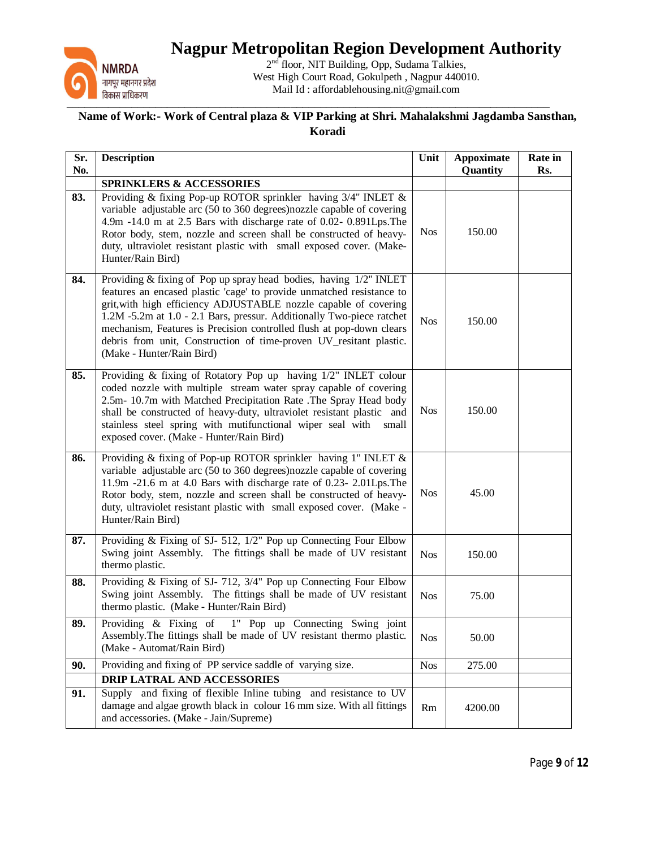

2<sup>nd</sup> floor, NIT Building, Opp, Sudama Talkies, West High Court Road, Gokulpeth , Nagpur 440010. Mail Id : affordablehousing.nit@gmail.com

| Sr.<br>No. | <b>Description</b>                                                                                                                                                                                                                                                                                                                                                                                                                                                 | Unit       | <b>Appoximate</b><br>Quantity | Rate in<br>Rs. |
|------------|--------------------------------------------------------------------------------------------------------------------------------------------------------------------------------------------------------------------------------------------------------------------------------------------------------------------------------------------------------------------------------------------------------------------------------------------------------------------|------------|-------------------------------|----------------|
|            | <b>SPRINKLERS &amp; ACCESSORIES</b>                                                                                                                                                                                                                                                                                                                                                                                                                                |            |                               |                |
| 83.        | Providing & fixing Pop-up ROTOR sprinkler having 3/4" INLET &<br>variable adjustable arc (50 to 360 degrees) nozzle capable of covering<br>4.9m -14.0 m at 2.5 Bars with discharge rate of 0.02- 0.891Lps. The<br>Rotor body, stem, nozzle and screen shall be constructed of heavy-<br>duty, ultraviolet resistant plastic with small exposed cover. (Make-<br>Hunter/Rain Bird)                                                                                  | <b>Nos</b> | 150.00                        |                |
| 84.        | Providing & fixing of Pop up spray head bodies, having 1/2" INLET<br>features an encased plastic 'cage' to provide unmatched resistance to<br>grit, with high efficiency ADJUSTABLE nozzle capable of covering<br>1.2M -5.2m at 1.0 - 2.1 Bars, pressur. Additionally Two-piece ratchet<br>mechanism, Features is Precision controlled flush at pop-down clears<br>debris from unit, Construction of time-proven UV_resitant plastic.<br>(Make - Hunter/Rain Bird) | <b>Nos</b> | 150.00                        |                |
| 85.        | Providing & fixing of Rotatory Pop up having 1/2" INLET colour<br>coded nozzle with multiple stream water spray capable of covering<br>2.5m- 10.7m with Matched Precipitation Rate .The Spray Head body<br>shall be constructed of heavy-duty, ultraviolet resistant plastic and<br>stainless steel spring with mutifunctional wiper seal with<br>small<br>exposed cover. (Make - Hunter/Rain Bird)                                                                | <b>Nos</b> | 150.00                        |                |
| 86.        | Providing & fixing of Pop-up ROTOR sprinkler having 1" INLET &<br>variable adjustable arc (50 to 360 degrees) nozzle capable of covering<br>11.9m -21.6 m at 4.0 Bars with discharge rate of 0.23- 2.01Lps. The<br>Rotor body, stem, nozzle and screen shall be constructed of heavy-<br>duty, ultraviolet resistant plastic with small exposed cover. (Make -<br>Hunter/Rain Bird)                                                                                | <b>Nos</b> | 45.00                         |                |
| 87.        | Providing & Fixing of SJ- 512, 1/2" Pop up Connecting Four Elbow<br>Swing joint Assembly. The fittings shall be made of UV resistant<br>thermo plastic.                                                                                                                                                                                                                                                                                                            | <b>Nos</b> | 150.00                        |                |
| 88.        | Providing $&$ Fixing of SJ- 712, 3/4" Pop up Connecting Four Elbow<br>Swing joint Assembly. The fittings shall be made of UV resistant<br>thermo plastic. (Make - Hunter/Rain Bird)                                                                                                                                                                                                                                                                                | <b>Nos</b> | 75.00                         |                |
| 89.        | Providing & Fixing of 1" Pop up Connecting Swing joint<br>Assembly. The fittings shall be made of UV resistant thermo plastic.<br>(Make - Automat/Rain Bird)                                                                                                                                                                                                                                                                                                       | <b>Nos</b> | 50.00                         |                |
| 90.        | Providing and fixing of PP service saddle of varying size.                                                                                                                                                                                                                                                                                                                                                                                                         | <b>Nos</b> | 275.00                        |                |
|            | DRIP LATRAL AND ACCESSORIES                                                                                                                                                                                                                                                                                                                                                                                                                                        |            |                               |                |
| 91.        | and fixing of flexible Inline tubing and resistance to UV<br>Supply<br>damage and algae growth black in colour 16 mm size. With all fittings<br>and accessories. (Make - Jain/Supreme)                                                                                                                                                                                                                                                                             | Rm         | 4200.00                       |                |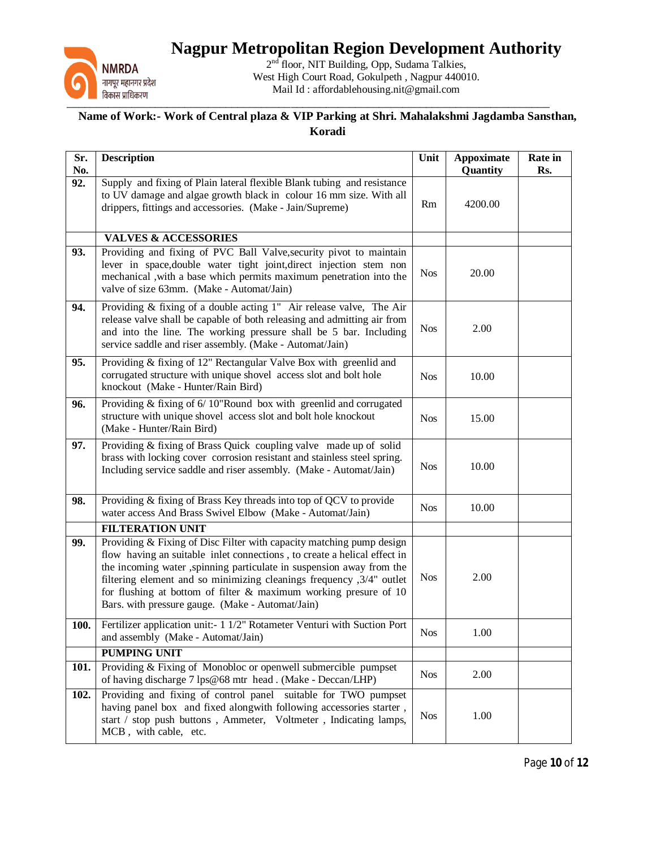

2<sup>nd</sup> floor, NIT Building, Opp, Sudama Talkies, West High Court Road, Gokulpeth , Nagpur 440010. Mail Id : affordablehousing.nit@gmail.com

| Sr.<br>No. | <b>Description</b>                                                                                                                                                                                                                                                                                                                                                                                                           | Unit       | <b>Appoximate</b><br>Quantity | Rate in<br>Rs. |
|------------|------------------------------------------------------------------------------------------------------------------------------------------------------------------------------------------------------------------------------------------------------------------------------------------------------------------------------------------------------------------------------------------------------------------------------|------------|-------------------------------|----------------|
| 92.        | Supply and fixing of Plain lateral flexible Blank tubing and resistance<br>to UV damage and algae growth black in colour 16 mm size. With all<br>drippers, fittings and accessories. (Make - Jain/Supreme)                                                                                                                                                                                                                   | Rm         | 4200.00                       |                |
|            | <b>VALVES &amp; ACCESSORIES</b>                                                                                                                                                                                                                                                                                                                                                                                              |            |                               |                |
| 93.        | Providing and fixing of PVC Ball Valve, security pivot to maintain<br>lever in space, double water tight joint, direct injection stem non<br>mechanical, with a base which permits maximum penetration into the<br>valve of size 63mm. (Make - Automat/Jain)                                                                                                                                                                 | <b>Nos</b> | 20.00                         |                |
| 94.        | Providing & fixing of a double acting 1" Air release valve, The Air<br>release valve shall be capable of both releasing and admitting air from<br>and into the line. The working pressure shall be 5 bar. Including<br>service saddle and riser assembly. (Make - Automat/Jain)                                                                                                                                              | <b>Nos</b> | 2.00                          |                |
| 95.        | Providing & fixing of 12" Rectangular Valve Box with greenlid and<br>corrugated structure with unique shovel access slot and bolt hole<br>knockout (Make - Hunter/Rain Bird)                                                                                                                                                                                                                                                 | <b>Nos</b> | 10.00                         |                |
| 96.        | Providing & fixing of 6/10"Round box with greenlid and corrugated<br>structure with unique shovel access slot and bolt hole knockout<br>(Make - Hunter/Rain Bird)                                                                                                                                                                                                                                                            | <b>Nos</b> | 15.00                         |                |
| 97.        | Providing & fixing of Brass Quick coupling valve made up of solid<br>brass with locking cover corrosion resistant and stainless steel spring.<br>Including service saddle and riser assembly. (Make - Automat/Jain)                                                                                                                                                                                                          | <b>Nos</b> | 10.00                         |                |
| 98.        | Providing & fixing of Brass Key threads into top of QCV to provide<br>water access And Brass Swivel Elbow (Make - Automat/Jain)                                                                                                                                                                                                                                                                                              | <b>Nos</b> | 10.00                         |                |
|            | <b>FILTERATION UNIT</b>                                                                                                                                                                                                                                                                                                                                                                                                      |            |                               |                |
| 99.        | Providing & Fixing of Disc Filter with capacity matching pump design<br>flow having an suitable inlet connections, to create a helical effect in<br>the incoming water ,spinning particulate in suspension away from the<br>filtering element and so minimizing cleanings frequency , 3/4" outlet<br>for flushing at bottom of filter $\&$ maximum working presure of 10<br>Bars. with pressure gauge. (Make - Automat/Jain) | <b>Nos</b> | 2.00                          |                |
| 100.       | Fertilizer application unit:- 1 1/2" Rotameter Venturi with Suction Port<br>and assembly (Make - Automat/Jain)                                                                                                                                                                                                                                                                                                               | <b>Nos</b> | 1.00                          |                |
|            | <b>PUMPING UNIT</b>                                                                                                                                                                                                                                                                                                                                                                                                          |            |                               |                |
| 101.       | Providing & Fixing of Monobloc or openwell submercible pumpset<br>of having discharge 7 lps@68 mtr head. (Make - Deccan/LHP)                                                                                                                                                                                                                                                                                                 | <b>Nos</b> | 2.00                          |                |
| 102.       | Providing and fixing of control panel suitable for TWO pumpset<br>having panel box and fixed alongwith following accessories starter,<br>start / stop push buttons, Ammeter, Voltmeter, Indicating lamps,<br>MCB, with cable, etc.                                                                                                                                                                                           | <b>Nos</b> | 1.00                          |                |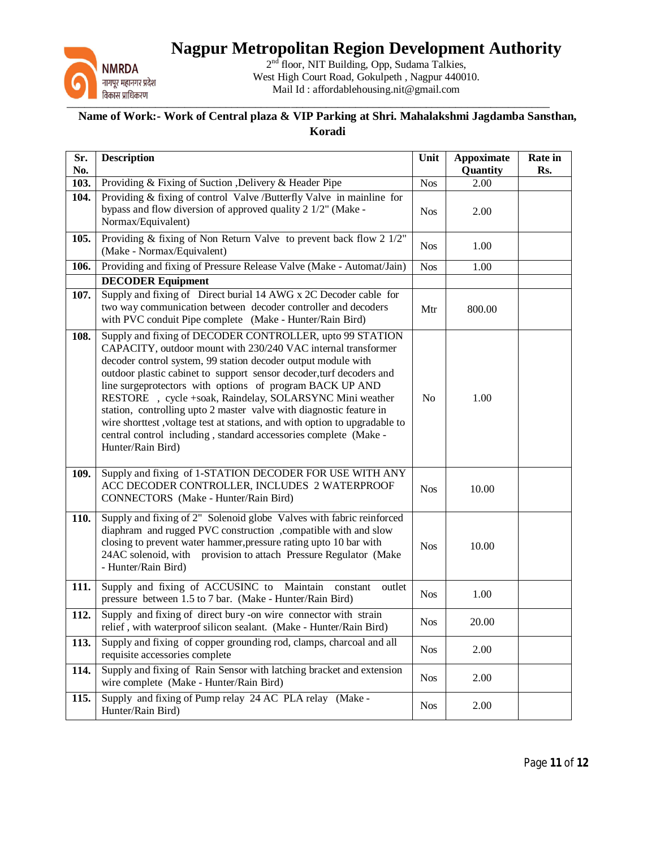

2<sup>nd</sup> floor, NIT Building, Opp, Sudama Talkies, West High Court Road, Gokulpeth , Nagpur 440010. Mail Id : affordablehousing.nit@gmail.com

| Sr.<br>No. | <b>Description</b>                                                                                                                                                                                                                                                                                                                                                                                                                                                                                                                                                                                                                       | Unit           | <b>Appoximate</b><br>Quantity | <b>Rate</b> in<br>Rs. |
|------------|------------------------------------------------------------------------------------------------------------------------------------------------------------------------------------------------------------------------------------------------------------------------------------------------------------------------------------------------------------------------------------------------------------------------------------------------------------------------------------------------------------------------------------------------------------------------------------------------------------------------------------------|----------------|-------------------------------|-----------------------|
| 103.       | Providing & Fixing of Suction , Delivery & Header Pipe                                                                                                                                                                                                                                                                                                                                                                                                                                                                                                                                                                                   | <b>Nos</b>     | 2.00                          |                       |
| 104.       | Providing & fixing of control Valve /Butterfly Valve in mainline for<br>bypass and flow diversion of approved quality 2 1/2" (Make -<br>Normax/Equivalent)                                                                                                                                                                                                                                                                                                                                                                                                                                                                               | <b>Nos</b>     | 2.00                          |                       |
| 105.       | Providing & fixing of Non Return Valve to prevent back flow 2 1/2"<br>(Make - Normax/Equivalent)                                                                                                                                                                                                                                                                                                                                                                                                                                                                                                                                         | <b>Nos</b>     | 1.00                          |                       |
| 106.       | Providing and fixing of Pressure Release Valve (Make - Automat/Jain)                                                                                                                                                                                                                                                                                                                                                                                                                                                                                                                                                                     | <b>Nos</b>     | 1.00                          |                       |
|            | <b>DECODER Equipment</b>                                                                                                                                                                                                                                                                                                                                                                                                                                                                                                                                                                                                                 |                |                               |                       |
| 107.       | Supply and fixing of Direct burial 14 AWG x 2C Decoder cable for<br>two way communication between decoder controller and decoders<br>with PVC conduit Pipe complete (Make - Hunter/Rain Bird)                                                                                                                                                                                                                                                                                                                                                                                                                                            | Mtr            | 800.00                        |                       |
| 108.       | Supply and fixing of DECODER CONTROLLER, upto 99 STATION<br>CAPACITY, outdoor mount with 230/240 VAC internal transformer<br>decoder control system, 99 station decoder output module with<br>outdoor plastic cabinet to support sensor decoder, turf decoders and<br>line surgeprotectors with options of program BACK UP AND<br>RESTORE , cycle +soak, Raindelay, SOLARSYNC Mini weather<br>station, controlling upto 2 master valve with diagnostic feature in<br>wire shorttest, voltage test at stations, and with option to upgradable to<br>central control including, standard accessories complete (Make -<br>Hunter/Rain Bird) | N <sub>o</sub> | 1.00                          |                       |
| 109.       | Supply and fixing of 1-STATION DECODER FOR USE WITH ANY<br>ACC DECODER CONTROLLER, INCLUDES 2 WATERPROOF<br>CONNECTORS (Make - Hunter/Rain Bird)                                                                                                                                                                                                                                                                                                                                                                                                                                                                                         | <b>Nos</b>     | 10.00                         |                       |
| 110.       | Supply and fixing of 2" Solenoid globe Valves with fabric reinforced<br>diaphram and rugged PVC construction , compatible with and slow<br>closing to prevent water hammer, pressure rating upto 10 bar with<br>24AC solenoid, with provision to attach Pressure Regulator (Make<br>- Hunter/Rain Bird)                                                                                                                                                                                                                                                                                                                                  | <b>Nos</b>     | 10.00                         |                       |
| 111.       | Supply and fixing of ACCUSINC to Maintain<br>constant<br>outlet<br>pressure between 1.5 to 7 bar. (Make - Hunter/Rain Bird)                                                                                                                                                                                                                                                                                                                                                                                                                                                                                                              | <b>Nos</b>     | 1.00                          |                       |
| 112.       | Supply and fixing of direct bury -on wire connector with strain<br>relief, with waterproof silicon sealant. (Make - Hunter/Rain Bird)                                                                                                                                                                                                                                                                                                                                                                                                                                                                                                    | <b>Nos</b>     | 20.00                         |                       |
| 113.       | Supply and fixing of copper grounding rod, clamps, charcoal and all<br>requisite accessories complete                                                                                                                                                                                                                                                                                                                                                                                                                                                                                                                                    | <b>Nos</b>     | 2.00                          |                       |
| 114.       | Supply and fixing of Rain Sensor with latching bracket and extension<br>wire complete (Make - Hunter/Rain Bird)                                                                                                                                                                                                                                                                                                                                                                                                                                                                                                                          | <b>Nos</b>     | 2.00                          |                       |
| 115.       | Supply and fixing of Pump relay 24 AC PLA relay (Make -<br>Hunter/Rain Bird)                                                                                                                                                                                                                                                                                                                                                                                                                                                                                                                                                             | <b>Nos</b>     | 2.00                          |                       |